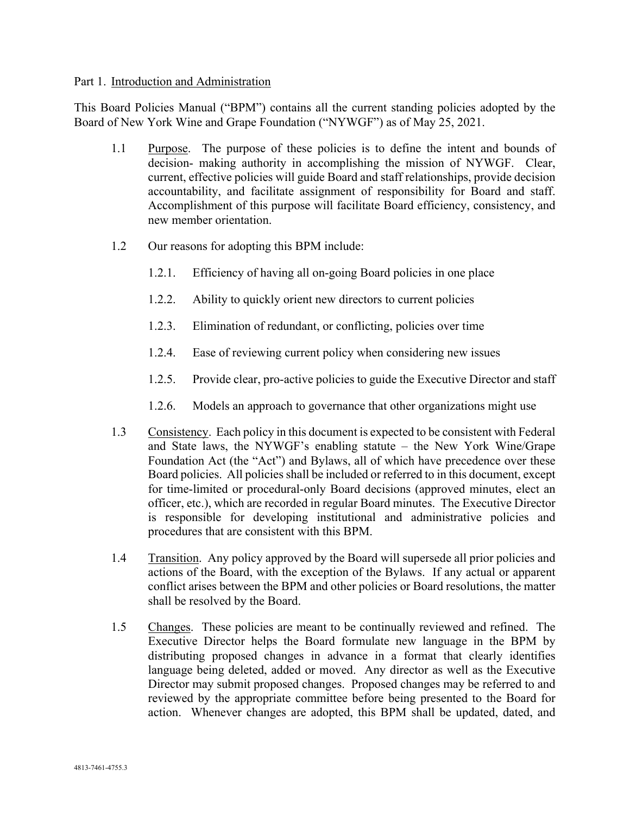#### Part 1. Introduction and Administration

This Board Policies Manual ("BPM") contains all the current standing policies adopted by the Board of New York Wine and Grape Foundation ("NYWGF") as of May 25, 2021.

- 1.1 Purpose. The purpose of these policies is to define the intent and bounds of decision- making authority in accomplishing the mission of NYWGF. Clear, current, effective policies will guide Board and staff relationships, provide decision accountability, and facilitate assignment of responsibility for Board and staff. Accomplishment of this purpose will facilitate Board efficiency, consistency, and new member orientation.
- 1.2 Our reasons for adopting this BPM include:
	- 1.2.1. Efficiency of having all on-going Board policies in one place
	- 1.2.2. Ability to quickly orient new directors to current policies
	- 1.2.3. Elimination of redundant, or conflicting, policies over time
	- 1.2.4. Ease of reviewing current policy when considering new issues
	- 1.2.5. Provide clear, pro-active policies to guide the Executive Director and staff
	- 1.2.6. Models an approach to governance that other organizations might use
- 1.3 Consistency. Each policy in this document is expected to be consistent with Federal and State laws, the NYWGF's enabling statute – the New York Wine/Grape Foundation Act (the "Act") and Bylaws, all of which have precedence over these Board policies. All policies shall be included or referred to in this document, except for time-limited or procedural-only Board decisions (approved minutes, elect an officer, etc.), which are recorded in regular Board minutes. The Executive Director is responsible for developing institutional and administrative policies and procedures that are consistent with this BPM.
- 1.4 Transition. Any policy approved by the Board will supersede all prior policies and actions of the Board, with the exception of the Bylaws. If any actual or apparent conflict arises between the BPM and other policies or Board resolutions, the matter shall be resolved by the Board.
- 1.5 Changes. These policies are meant to be continually reviewed and refined. The Executive Director helps the Board formulate new language in the BPM by distributing proposed changes in advance in a format that clearly identifies language being deleted, added or moved. Any director as well as the Executive Director may submit proposed changes. Proposed changes may be referred to and reviewed by the appropriate committee before being presented to the Board for action. Whenever changes are adopted, this BPM shall be updated, dated, and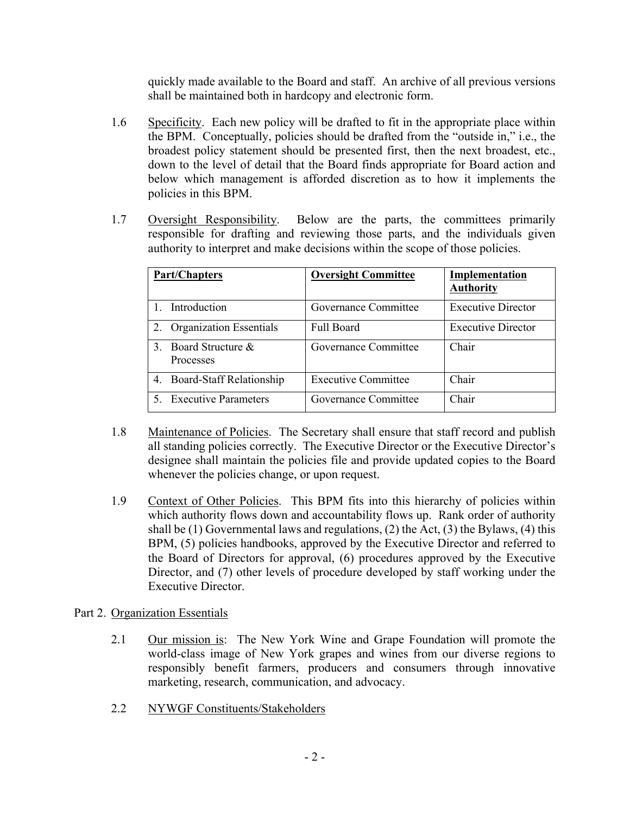quickly made available to the Board and staff. An archive of all previous versions shall be maintained both in hardcopy and electronic form.

- 1.6 Specificity. Each new policy will be drafted to fit in the appropriate place within the BPM. Conceptually, policies should be drafted from the "outside in," i.e., the broadest policy statement should be presented first, then the next broadest, etc., down to the level of detail that the Board finds appropriate for Board action and below which management is afforded discretion as to how it implements the policies in this BPM.
- 1.7 Oversight Responsibility. Below are the parts, the committees primarily responsible for drafting and reviewing those parts, and the individuals given authority to interpret and make decisions within the scope of those policies.

|                             | <b>Part/Chapters</b>                  | <b>Oversight Committee</b> | <b>Implementation</b><br><b>Authority</b> |
|-----------------------------|---------------------------------------|----------------------------|-------------------------------------------|
|                             | Introduction                          | Governance Committee       | <b>Executive Director</b>                 |
|                             | <b>Organization Essentials</b>        | <b>Full Board</b>          | <b>Executive Director</b>                 |
| $\mathcal{F}_{\mathcal{L}}$ | Board Structure &<br><b>Processes</b> | Governance Committee       | Chair                                     |
| 4.                          | Board-Staff Relationship              | <b>Executive Committee</b> | Chair                                     |
|                             | 5. Executive Parameters               | Governance Committee       | Chair                                     |

- 1.8 Maintenance of Policies. The Secretary shall ensure that staff record and publish all standing policies correctly. The Executive Director or the Executive Director's designee shall maintain the policies file and provide updated copies to the Board whenever the policies change, or upon request.
- 1.9 Context of Other Policies. This BPM fits into this hierarchy of policies within which authority flows down and accountability flows up. Rank order of authority shall be (1) Governmental laws and regulations, (2) the Act, (3) the Bylaws, (4) this BPM, (5) policies handbooks, approved by the Executive Director and referred to the Board of Directors for approval, (6) procedures approved by the Executive Director, and (7) other levels of procedure developed by staff working under the Executive Director.

# Part 2. Organization Essentials

- 2.1 Our mission is: The New York Wine and Grape Foundation will promote the world-class image of New York grapes and wines from our diverse regions to responsibly benefit farmers, producers and consumers through innovative marketing, research, communication, and advocacy.
- 2.2 NYWGF Constituents/Stakeholders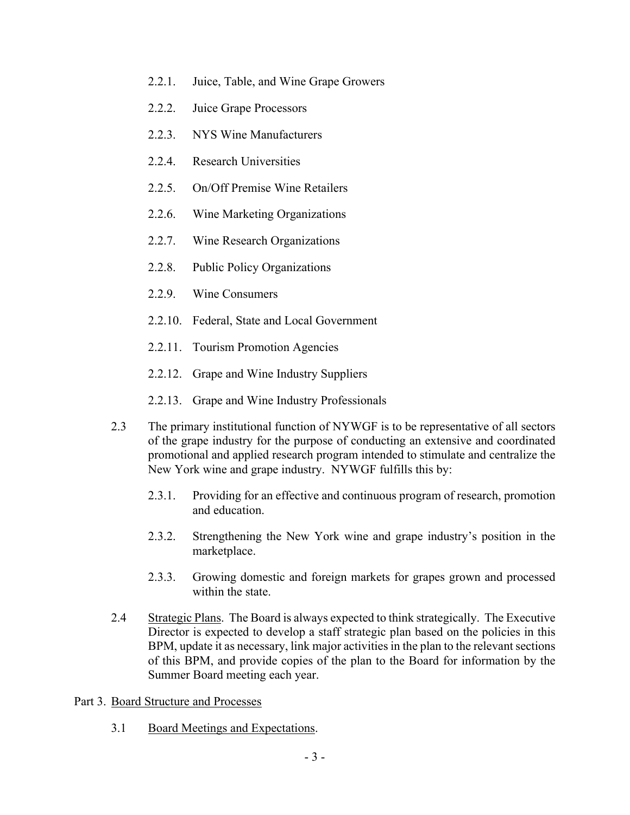- 2.2.1. Juice, Table, and Wine Grape Growers
- 2.2.2. Juice Grape Processors
- 2.2.3. NYS Wine Manufacturers
- 2.2.4. Research Universities
- 2.2.5. On/Off Premise Wine Retailers
- 2.2.6. Wine Marketing Organizations
- 2.2.7. Wine Research Organizations
- 2.2.8. Public Policy Organizations
- 2.2.9. Wine Consumers
- 2.2.10. Federal, State and Local Government
- 2.2.11. Tourism Promotion Agencies
- 2.2.12. Grape and Wine Industry Suppliers
- 2.2.13. Grape and Wine Industry Professionals
- 2.3 The primary institutional function of NYWGF is to be representative of all sectors of the grape industry for the purpose of conducting an extensive and coordinated promotional and applied research program intended to stimulate and centralize the New York wine and grape industry. NYWGF fulfills this by:
	- 2.3.1. Providing for an effective and continuous program of research, promotion and education.
	- 2.3.2. Strengthening the New York wine and grape industry's position in the marketplace.
	- 2.3.3. Growing domestic and foreign markets for grapes grown and processed within the state.
- 2.4 Strategic Plans. The Board is always expected to think strategically. The Executive Director is expected to develop a staff strategic plan based on the policies in this BPM, update it as necessary, link major activities in the plan to the relevant sections of this BPM, and provide copies of the plan to the Board for information by the Summer Board meeting each year.
- Part 3. Board Structure and Processes
	- 3.1 Board Meetings and Expectations.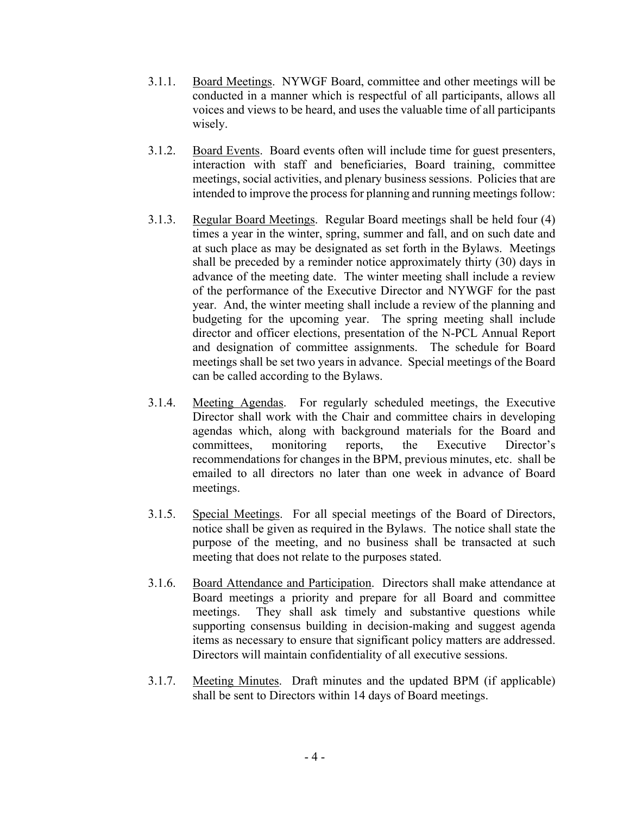- 3.1.1. Board Meetings. NYWGF Board, committee and other meetings will be conducted in a manner which is respectful of all participants, allows all voices and views to be heard, and uses the valuable time of all participants wisely.
- 3.1.2. Board Events. Board events often will include time for guest presenters, interaction with staff and beneficiaries, Board training, committee meetings, social activities, and plenary business sessions. Policies that are intended to improve the process for planning and running meetings follow:
- 3.1.3. Regular Board Meetings. Regular Board meetings shall be held four (4) times a year in the winter, spring, summer and fall, and on such date and at such place as may be designated as set forth in the Bylaws. Meetings shall be preceded by a reminder notice approximately thirty (30) days in advance of the meeting date. The winter meeting shall include a review of the performance of the Executive Director and NYWGF for the past year. And, the winter meeting shall include a review of the planning and budgeting for the upcoming year. The spring meeting shall include director and officer elections, presentation of the N-PCL Annual Report and designation of committee assignments. The schedule for Board meetings shall be set two years in advance. Special meetings of the Board can be called according to the Bylaws.
- 3.1.4. Meeting Agendas. For regularly scheduled meetings, the Executive Director shall work with the Chair and committee chairs in developing agendas which, along with background materials for the Board and committees, monitoring reports, the Executive Director's recommendations for changes in the BPM, previous minutes, etc. shall be emailed to all directors no later than one week in advance of Board meetings.
- 3.1.5. Special Meetings. For all special meetings of the Board of Directors, notice shall be given as required in the Bylaws. The notice shall state the purpose of the meeting, and no business shall be transacted at such meeting that does not relate to the purposes stated.
- 3.1.6. Board Attendance and Participation. Directors shall make attendance at Board meetings a priority and prepare for all Board and committee meetings. They shall ask timely and substantive questions while supporting consensus building in decision-making and suggest agenda items as necessary to ensure that significant policy matters are addressed. Directors will maintain confidentiality of all executive sessions.
- 3.1.7. Meeting Minutes. Draft minutes and the updated BPM (if applicable) shall be sent to Directors within 14 days of Board meetings.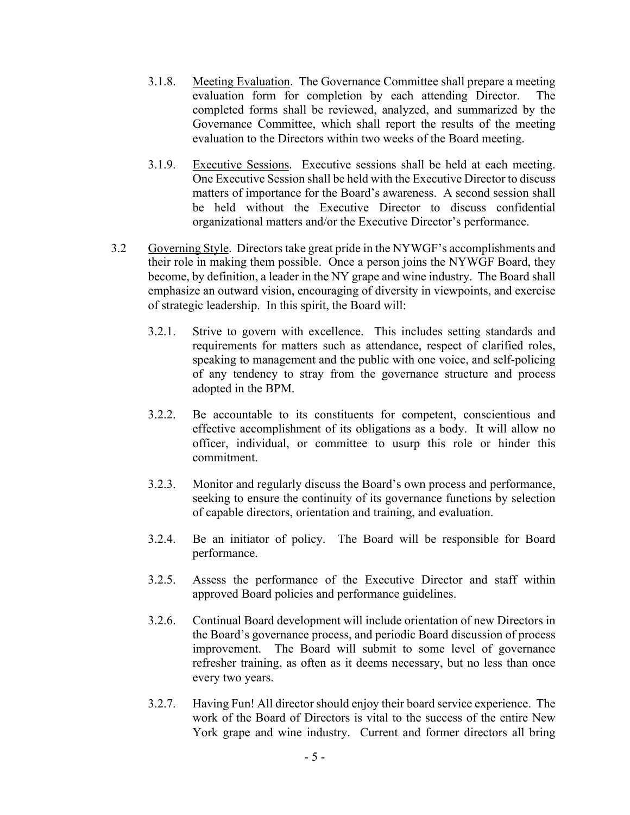- 3.1.8. Meeting Evaluation. The Governance Committee shall prepare a meeting evaluation form for completion by each attending Director. The completed forms shall be reviewed, analyzed, and summarized by the Governance Committee, which shall report the results of the meeting evaluation to the Directors within two weeks of the Board meeting.
- 3.1.9. Executive Sessions. Executive sessions shall be held at each meeting. One Executive Session shall be held with the Executive Director to discuss matters of importance for the Board's awareness. A second session shall be held without the Executive Director to discuss confidential organizational matters and/or the Executive Director's performance.
- 3.2 Governing Style. Directors take great pride in the NYWGF's accomplishments and their role in making them possible. Once a person joins the NYWGF Board, they become, by definition, a leader in the NY grape and wine industry. The Board shall emphasize an outward vision, encouraging of diversity in viewpoints, and exercise of strategic leadership. In this spirit, the Board will:
	- 3.2.1. Strive to govern with excellence. This includes setting standards and requirements for matters such as attendance, respect of clarified roles, speaking to management and the public with one voice, and self-policing of any tendency to stray from the governance structure and process adopted in the BPM.
	- 3.2.2. Be accountable to its constituents for competent, conscientious and effective accomplishment of its obligations as a body. It will allow no officer, individual, or committee to usurp this role or hinder this commitment.
	- 3.2.3. Monitor and regularly discuss the Board's own process and performance, seeking to ensure the continuity of its governance functions by selection of capable directors, orientation and training, and evaluation.
	- 3.2.4. Be an initiator of policy. The Board will be responsible for Board performance.
	- 3.2.5. Assess the performance of the Executive Director and staff within approved Board policies and performance guidelines.
	- 3.2.6. Continual Board development will include orientation of new Directors in the Board's governance process, and periodic Board discussion of process improvement. The Board will submit to some level of governance refresher training, as often as it deems necessary, but no less than once every two years.
	- 3.2.7. Having Fun! All director should enjoy their board service experience. The work of the Board of Directors is vital to the success of the entire New York grape and wine industry. Current and former directors all bring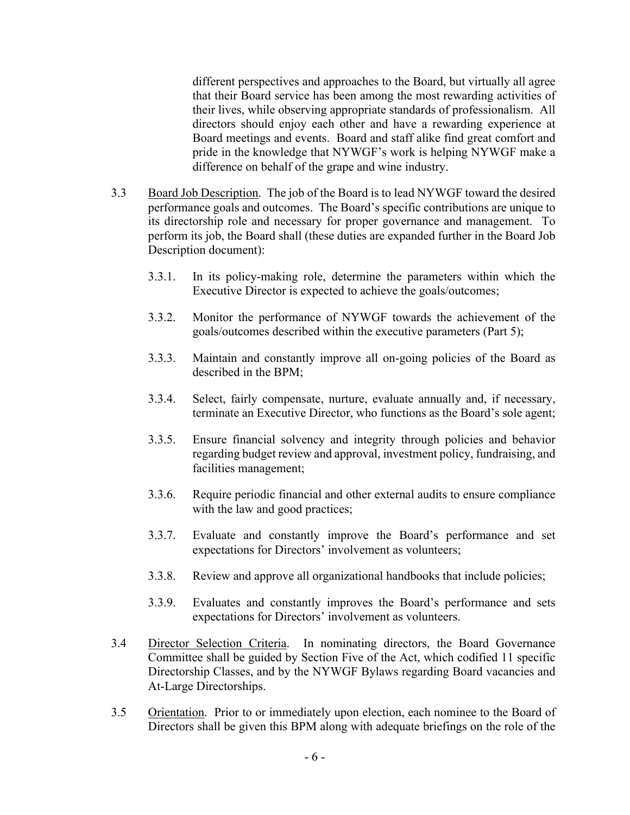different perspectives and approaches to the Board, but virtually all agree that their Board service has been among the most rewarding activities of their lives, while observing appropriate standards of professionalism. All directors should enjoy each other and have a rewarding experience at Board meetings and events. Board and staff alike find great comfort and pride in the knowledge that NYWGF's work is helping NYWGF make a difference on behalf of the grape and wine industry.

- 3.3 Board Job Description. The job of the Board is to lead NYWGF toward the desired performance goals and outcomes. The Board's specific contributions are unique to its directorship role and necessary for proper governance and management. To perform its job, the Board shall (these duties are expanded further in the Board Job Description document):
	- 3.3.1. In its policy-making role, determine the parameters within which the Executive Director is expected to achieve the goals/outcomes;
	- 3.3.2. Monitor the performance of NYWGF towards the achievement of the goals/outcomes described within the executive parameters (Part 5);
	- 3.3.3. Maintain and constantly improve all on-going policies of the Board as described in the BPM;
	- 3.3.4. Select, fairly compensate, nurture, evaluate annually and, if necessary, terminate an Executive Director, who functions as the Board's sole agent;
	- 3.3.5. Ensure financial solvency and integrity through policies and behavior regarding budget review and approval, investment policy, fundraising, and facilities management;
	- 3.3.6. Require periodic financial and other external audits to ensure compliance with the law and good practices;
	- 3.3.7. Evaluate and constantly improve the Board's performance and set expectations for Directors' involvement as volunteers;
	- 3.3.8. Review and approve all organizational handbooks that include policies;
	- 3.3.9. Evaluates and constantly improves the Board's performance and sets expectations for Directors' involvement as volunteers.
- 3.4 Director Selection Criteria. In nominating directors, the Board Governance Committee shall be guided by Section Five of the Act, which codified 11 specific Directorship Classes, and by the NYWGF Bylaws regarding Board vacancies and At-Large Directorships.
- 3.5 Orientation. Prior to or immediately upon election, each nominee to the Board of Directors shall be given this BPM along with adequate briefings on the role of the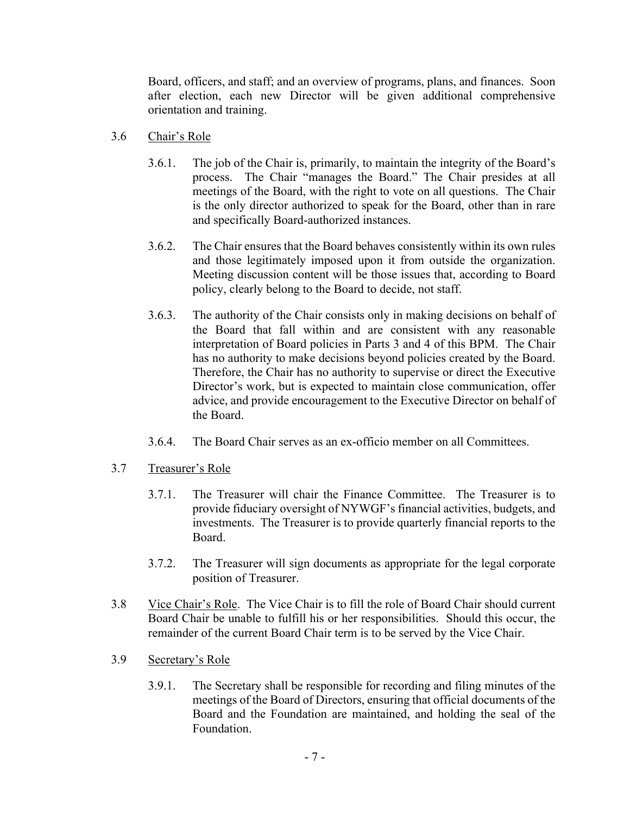Board, officers, and staff; and an overview of programs, plans, and finances. Soon after election, each new Director will be given additional comprehensive orientation and training.

### 3.6 Chair's Role

- 3.6.1. The job of the Chair is, primarily, to maintain the integrity of the Board's process. The Chair "manages the Board." The Chair presides at all meetings of the Board, with the right to vote on all questions. The Chair is the only director authorized to speak for the Board, other than in rare and specifically Board-authorized instances.
- 3.6.2. The Chair ensures that the Board behaves consistently within its own rules and those legitimately imposed upon it from outside the organization. Meeting discussion content will be those issues that, according to Board policy, clearly belong to the Board to decide, not staff.
- 3.6.3. The authority of the Chair consists only in making decisions on behalf of the Board that fall within and are consistent with any reasonable interpretation of Board policies in Parts 3 and 4 of this BPM. The Chair has no authority to make decisions beyond policies created by the Board. Therefore, the Chair has no authority to supervise or direct the Executive Director's work, but is expected to maintain close communication, offer advice, and provide encouragement to the Executive Director on behalf of the Board.
- 3.6.4. The Board Chair serves as an ex-officio member on all Committees.

# 3.7 Treasurer's Role

- 3.7.1. The Treasurer will chair the Finance Committee. The Treasurer is to provide fiduciary oversight of NYWGF's financial activities, budgets, and investments. The Treasurer is to provide quarterly financial reports to the Board.
- 3.7.2. The Treasurer will sign documents as appropriate for the legal corporate position of Treasurer.
- 3.8 Vice Chair's Role. The Vice Chair is to fill the role of Board Chair should current Board Chair be unable to fulfill his or her responsibilities. Should this occur, the remainder of the current Board Chair term is to be served by the Vice Chair.
- 3.9 Secretary's Role
	- 3.9.1. The Secretary shall be responsible for recording and filing minutes of the meetings of the Board of Directors, ensuring that official documents of the Board and the Foundation are maintained, and holding the seal of the Foundation.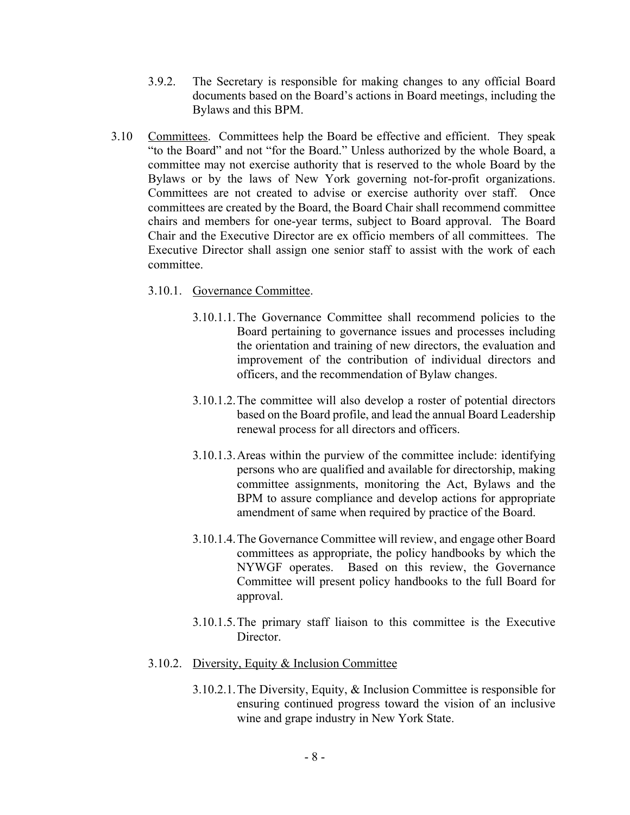- 3.9.2. The Secretary is responsible for making changes to any official Board documents based on the Board's actions in Board meetings, including the Bylaws and this BPM.
- 3.10 Committees. Committees help the Board be effective and efficient. They speak "to the Board" and not "for the Board." Unless authorized by the whole Board, a committee may not exercise authority that is reserved to the whole Board by the Bylaws or by the laws of New York governing not-for-profit organizations. Committees are not created to advise or exercise authority over staff. Once committees are created by the Board, the Board Chair shall recommend committee chairs and members for one-year terms, subject to Board approval. The Board Chair and the Executive Director are ex officio members of all committees. The Executive Director shall assign one senior staff to assist with the work of each committee.
	- 3.10.1. Governance Committee.
		- 3.10.1.1.The Governance Committee shall recommend policies to the Board pertaining to governance issues and processes including the orientation and training of new directors, the evaluation and improvement of the contribution of individual directors and officers, and the recommendation of Bylaw changes.
		- 3.10.1.2.The committee will also develop a roster of potential directors based on the Board profile, and lead the annual Board Leadership renewal process for all directors and officers.
		- 3.10.1.3.Areas within the purview of the committee include: identifying persons who are qualified and available for directorship, making committee assignments, monitoring the Act, Bylaws and the BPM to assure compliance and develop actions for appropriate amendment of same when required by practice of the Board.
		- 3.10.1.4.The Governance Committee will review, and engage other Board committees as appropriate, the policy handbooks by which the NYWGF operates. Based on this review, the Governance Committee will present policy handbooks to the full Board for approval.
		- 3.10.1.5.The primary staff liaison to this committee is the Executive Director.
	- 3.10.2. Diversity, Equity & Inclusion Committee
		- 3.10.2.1.The Diversity, Equity, & Inclusion Committee is responsible for ensuring continued progress toward the vision of an inclusive wine and grape industry in New York State.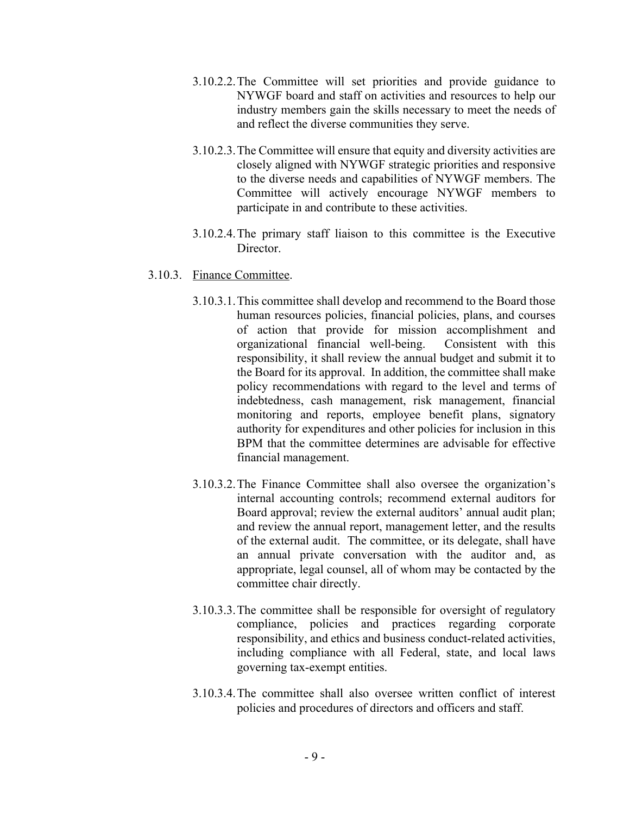- 3.10.2.2.The Committee will set priorities and provide guidance to NYWGF board and staff on activities and resources to help our industry members gain the skills necessary to meet the needs of and reflect the diverse communities they serve.
- 3.10.2.3.The Committee will ensure that equity and diversity activities are closely aligned with NYWGF strategic priorities and responsive to the diverse needs and capabilities of NYWGF members. The Committee will actively encourage NYWGF members to participate in and contribute to these activities.
- 3.10.2.4.The primary staff liaison to this committee is the Executive Director.

### 3.10.3. Finance Committee.

- 3.10.3.1.This committee shall develop and recommend to the Board those human resources policies, financial policies, plans, and courses of action that provide for mission accomplishment and organizational financial well-being. Consistent with this responsibility, it shall review the annual budget and submit it to the Board for its approval. In addition, the committee shall make policy recommendations with regard to the level and terms of indebtedness, cash management, risk management, financial monitoring and reports, employee benefit plans, signatory authority for expenditures and other policies for inclusion in this BPM that the committee determines are advisable for effective financial management.
- 3.10.3.2.The Finance Committee shall also oversee the organization's internal accounting controls; recommend external auditors for Board approval; review the external auditors' annual audit plan; and review the annual report, management letter, and the results of the external audit. The committee, or its delegate, shall have an annual private conversation with the auditor and, as appropriate, legal counsel, all of whom may be contacted by the committee chair directly.
- 3.10.3.3.The committee shall be responsible for oversight of regulatory compliance, policies and practices regarding corporate responsibility, and ethics and business conduct-related activities, including compliance with all Federal, state, and local laws governing tax-exempt entities.
- 3.10.3.4.The committee shall also oversee written conflict of interest policies and procedures of directors and officers and staff.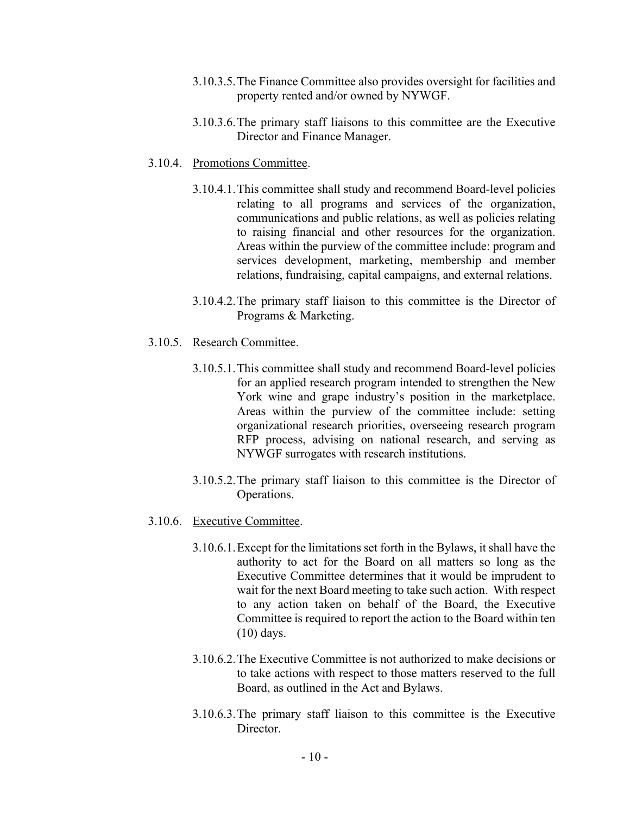- 3.10.3.5.The Finance Committee also provides oversight for facilities and property rented and/or owned by NYWGF.
- 3.10.3.6.The primary staff liaisons to this committee are the Executive Director and Finance Manager.
- 3.10.4. Promotions Committee.
	- 3.10.4.1.This committee shall study and recommend Board-level policies relating to all programs and services of the organization, communications and public relations, as well as policies relating to raising financial and other resources for the organization. Areas within the purview of the committee include: program and services development, marketing, membership and member relations, fundraising, capital campaigns, and external relations.
	- 3.10.4.2.The primary staff liaison to this committee is the Director of Programs & Marketing.
- 3.10.5. Research Committee.
	- 3.10.5.1.This committee shall study and recommend Board-level policies for an applied research program intended to strengthen the New York wine and grape industry's position in the marketplace. Areas within the purview of the committee include: setting organizational research priorities, overseeing research program RFP process, advising on national research, and serving as NYWGF surrogates with research institutions.
	- 3.10.5.2.The primary staff liaison to this committee is the Director of Operations.
- 3.10.6. Executive Committee.
	- 3.10.6.1.Except for the limitations set forth in the Bylaws, it shall have the authority to act for the Board on all matters so long as the Executive Committee determines that it would be imprudent to wait for the next Board meeting to take such action. With respect to any action taken on behalf of the Board, the Executive Committee is required to report the action to the Board within ten (10) days.
	- 3.10.6.2.The Executive Committee is not authorized to make decisions or to take actions with respect to those matters reserved to the full Board, as outlined in the Act and Bylaws.
	- 3.10.6.3.The primary staff liaison to this committee is the Executive Director.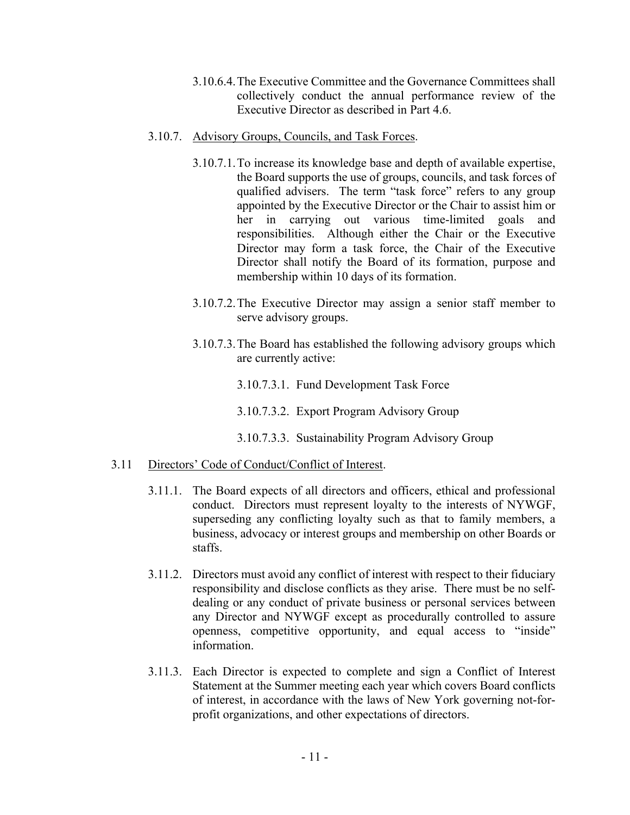- 3.10.6.4.The Executive Committee and the Governance Committees shall collectively conduct the annual performance review of the Executive Director as described in Part 4.6.
- 3.10.7. Advisory Groups, Councils, and Task Forces.
	- 3.10.7.1.To increase its knowledge base and depth of available expertise, the Board supports the use of groups, councils, and task forces of qualified advisers. The term "task force" refers to any group appointed by the Executive Director or the Chair to assist him or her in carrying out various time-limited goals and responsibilities. Although either the Chair or the Executive Director may form a task force, the Chair of the Executive Director shall notify the Board of its formation, purpose and membership within 10 days of its formation.
	- 3.10.7.2.The Executive Director may assign a senior staff member to serve advisory groups.
	- 3.10.7.3.The Board has established the following advisory groups which are currently active:
		- 3.10.7.3.1. Fund Development Task Force
		- 3.10.7.3.2. Export Program Advisory Group
		- 3.10.7.3.3. Sustainability Program Advisory Group

#### 3.11 Directors' Code of Conduct/Conflict of Interest.

- 3.11.1. The Board expects of all directors and officers, ethical and professional conduct. Directors must represent loyalty to the interests of NYWGF, superseding any conflicting loyalty such as that to family members, a business, advocacy or interest groups and membership on other Boards or staffs.
- 3.11.2. Directors must avoid any conflict of interest with respect to their fiduciary responsibility and disclose conflicts as they arise. There must be no selfdealing or any conduct of private business or personal services between any Director and NYWGF except as procedurally controlled to assure openness, competitive opportunity, and equal access to "inside" information.
- 3.11.3. Each Director is expected to complete and sign a Conflict of Interest Statement at the Summer meeting each year which covers Board conflicts of interest, in accordance with the laws of New York governing not-forprofit organizations, and other expectations of directors.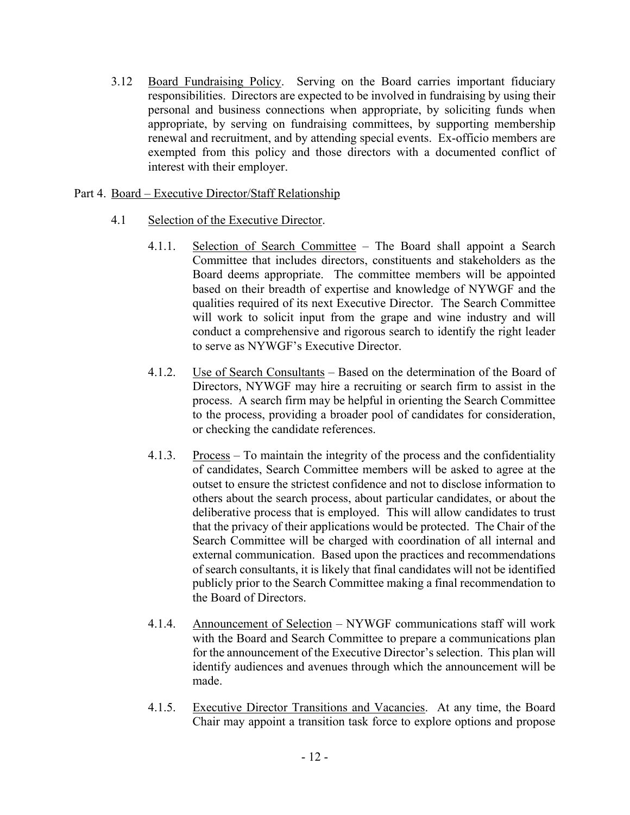3.12 Board Fundraising Policy. Serving on the Board carries important fiduciary responsibilities. Directors are expected to be involved in fundraising by using their personal and business connections when appropriate, by soliciting funds when appropriate, by serving on fundraising committees, by supporting membership renewal and recruitment, and by attending special events. Ex-officio members are exempted from this policy and those directors with a documented conflict of interest with their employer.

## Part 4. Board – Executive Director/Staff Relationship

- 4.1 Selection of the Executive Director.
	- 4.1.1. Selection of Search Committee The Board shall appoint a Search Committee that includes directors, constituents and stakeholders as the Board deems appropriate. The committee members will be appointed based on their breadth of expertise and knowledge of NYWGF and the qualities required of its next Executive Director. The Search Committee will work to solicit input from the grape and wine industry and will conduct a comprehensive and rigorous search to identify the right leader to serve as NYWGF's Executive Director.
	- 4.1.2. Use of Search Consultants Based on the determination of the Board of Directors, NYWGF may hire a recruiting or search firm to assist in the process. A search firm may be helpful in orienting the Search Committee to the process, providing a broader pool of candidates for consideration, or checking the candidate references.
	- 4.1.3. Process To maintain the integrity of the process and the confidentiality of candidates, Search Committee members will be asked to agree at the outset to ensure the strictest confidence and not to disclose information to others about the search process, about particular candidates, or about the deliberative process that is employed. This will allow candidates to trust that the privacy of their applications would be protected. The Chair of the Search Committee will be charged with coordination of all internal and external communication. Based upon the practices and recommendations of search consultants, it is likely that final candidates will not be identified publicly prior to the Search Committee making a final recommendation to the Board of Directors.
	- 4.1.4. Announcement of Selection NYWGF communications staff will work with the Board and Search Committee to prepare a communications plan for the announcement of the Executive Director's selection. This plan will identify audiences and avenues through which the announcement will be made.
	- 4.1.5. Executive Director Transitions and Vacancies. At any time, the Board Chair may appoint a transition task force to explore options and propose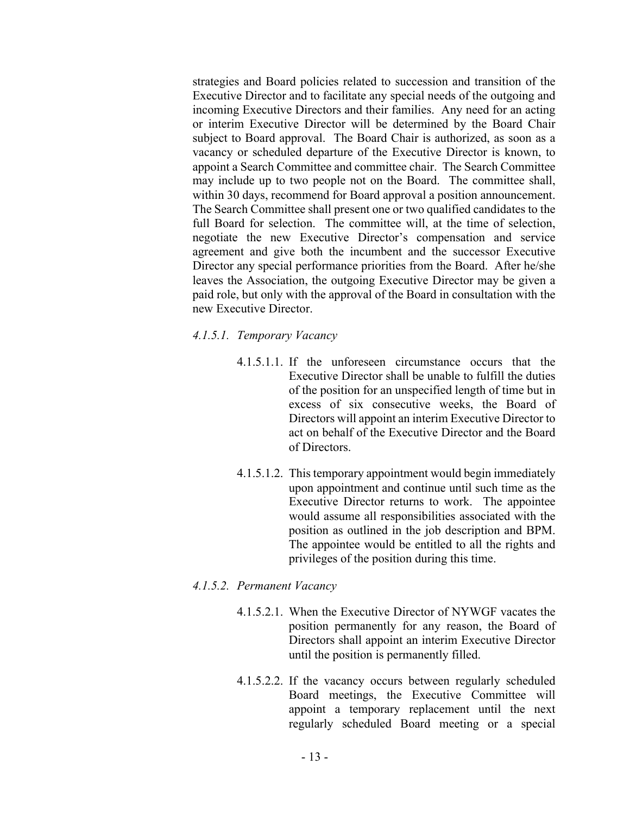strategies and Board policies related to succession and transition of the Executive Director and to facilitate any special needs of the outgoing and incoming Executive Directors and their families. Any need for an acting or interim Executive Director will be determined by the Board Chair subject to Board approval. The Board Chair is authorized, as soon as a vacancy or scheduled departure of the Executive Director is known, to appoint a Search Committee and committee chair. The Search Committee may include up to two people not on the Board. The committee shall, within 30 days, recommend for Board approval a position announcement. The Search Committee shall present one or two qualified candidates to the full Board for selection. The committee will, at the time of selection, negotiate the new Executive Director's compensation and service agreement and give both the incumbent and the successor Executive Director any special performance priorities from the Board. After he/she leaves the Association, the outgoing Executive Director may be given a paid role, but only with the approval of the Board in consultation with the new Executive Director.

- *4.1.5.1. Temporary Vacancy*
	- 4.1.5.1.1. If the unforeseen circumstance occurs that the Executive Director shall be unable to fulfill the duties of the position for an unspecified length of time but in excess of six consecutive weeks, the Board of Directors will appoint an interim Executive Director to act on behalf of the Executive Director and the Board of Directors.
	- 4.1.5.1.2. This temporary appointment would begin immediately upon appointment and continue until such time as the Executive Director returns to work. The appointee would assume all responsibilities associated with the position as outlined in the job description and BPM. The appointee would be entitled to all the rights and privileges of the position during this time.

#### *4.1.5.2. Permanent Vacancy*

- 4.1.5.2.1. When the Executive Director of NYWGF vacates the position permanently for any reason, the Board of Directors shall appoint an interim Executive Director until the position is permanently filled.
- 4.1.5.2.2. If the vacancy occurs between regularly scheduled Board meetings, the Executive Committee will appoint a temporary replacement until the next regularly scheduled Board meeting or a special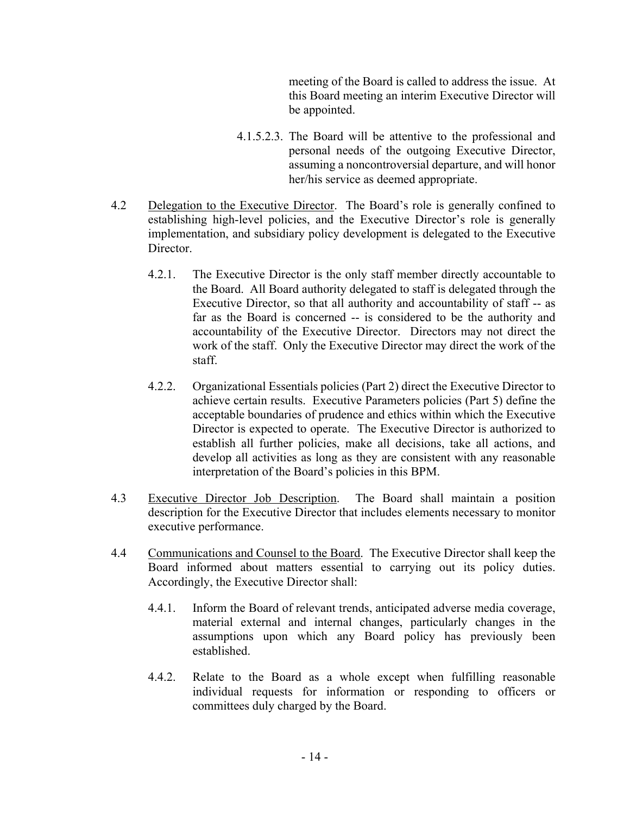meeting of the Board is called to address the issue. At this Board meeting an interim Executive Director will be appointed.

- 4.1.5.2.3. The Board will be attentive to the professional and personal needs of the outgoing Executive Director, assuming a noncontroversial departure, and will honor her/his service as deemed appropriate.
- 4.2 Delegation to the Executive Director. The Board's role is generally confined to establishing high-level policies, and the Executive Director's role is generally implementation, and subsidiary policy development is delegated to the Executive Director.
	- 4.2.1. The Executive Director is the only staff member directly accountable to the Board. All Board authority delegated to staff is delegated through the Executive Director, so that all authority and accountability of staff -- as far as the Board is concerned -- is considered to be the authority and accountability of the Executive Director. Directors may not direct the work of the staff. Only the Executive Director may direct the work of the staff.
	- 4.2.2. Organizational Essentials policies (Part 2) direct the Executive Director to achieve certain results. Executive Parameters policies (Part 5) define the acceptable boundaries of prudence and ethics within which the Executive Director is expected to operate. The Executive Director is authorized to establish all further policies, make all decisions, take all actions, and develop all activities as long as they are consistent with any reasonable interpretation of the Board's policies in this BPM.
- 4.3 Executive Director Job Description. The Board shall maintain a position description for the Executive Director that includes elements necessary to monitor executive performance.
- 4.4 Communications and Counsel to the Board. The Executive Director shall keep the Board informed about matters essential to carrying out its policy duties. Accordingly, the Executive Director shall:
	- 4.4.1. Inform the Board of relevant trends, anticipated adverse media coverage, material external and internal changes, particularly changes in the assumptions upon which any Board policy has previously been established.
	- 4.4.2. Relate to the Board as a whole except when fulfilling reasonable individual requests for information or responding to officers or committees duly charged by the Board.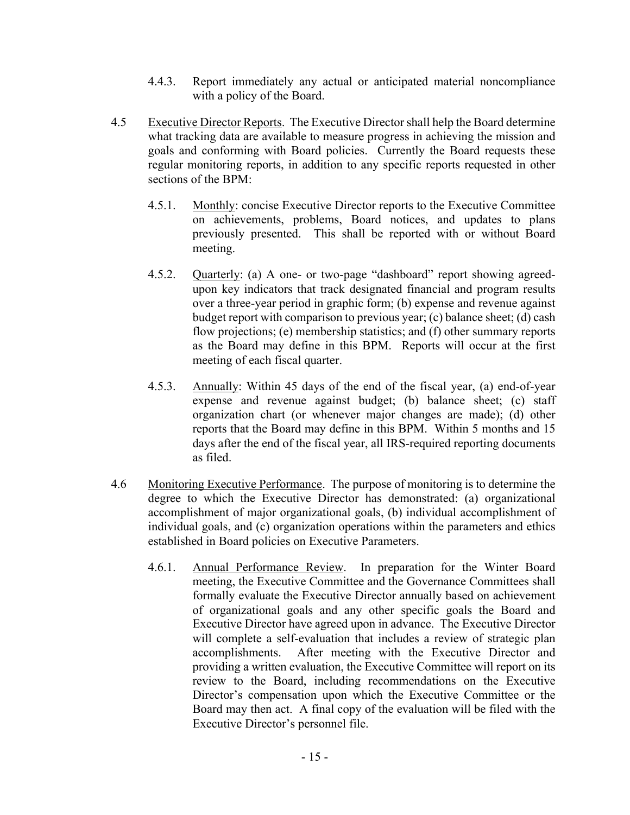- 4.4.3. Report immediately any actual or anticipated material noncompliance with a policy of the Board.
- 4.5 Executive Director Reports. The Executive Director shall help the Board determine what tracking data are available to measure progress in achieving the mission and goals and conforming with Board policies. Currently the Board requests these regular monitoring reports, in addition to any specific reports requested in other sections of the BPM:
	- 4.5.1. Monthly: concise Executive Director reports to the Executive Committee on achievements, problems, Board notices, and updates to plans previously presented. This shall be reported with or without Board meeting.
	- 4.5.2. Quarterly: (a) A one- or two-page "dashboard" report showing agreedupon key indicators that track designated financial and program results over a three-year period in graphic form; (b) expense and revenue against budget report with comparison to previous year; (c) balance sheet; (d) cash flow projections; (e) membership statistics; and (f) other summary reports as the Board may define in this BPM. Reports will occur at the first meeting of each fiscal quarter.
	- 4.5.3. Annually: Within 45 days of the end of the fiscal year, (a) end-of-year expense and revenue against budget; (b) balance sheet; (c) staff organization chart (or whenever major changes are made); (d) other reports that the Board may define in this BPM. Within 5 months and 15 days after the end of the fiscal year, all IRS-required reporting documents as filed.
- 4.6 Monitoring Executive Performance. The purpose of monitoring is to determine the degree to which the Executive Director has demonstrated: (a) organizational accomplishment of major organizational goals, (b) individual accomplishment of individual goals, and (c) organization operations within the parameters and ethics established in Board policies on Executive Parameters.
	- 4.6.1. Annual Performance Review. In preparation for the Winter Board meeting, the Executive Committee and the Governance Committees shall formally evaluate the Executive Director annually based on achievement of organizational goals and any other specific goals the Board and Executive Director have agreed upon in advance. The Executive Director will complete a self-evaluation that includes a review of strategic plan accomplishments. After meeting with the Executive Director and providing a written evaluation, the Executive Committee will report on its review to the Board, including recommendations on the Executive Director's compensation upon which the Executive Committee or the Board may then act. A final copy of the evaluation will be filed with the Executive Director's personnel file.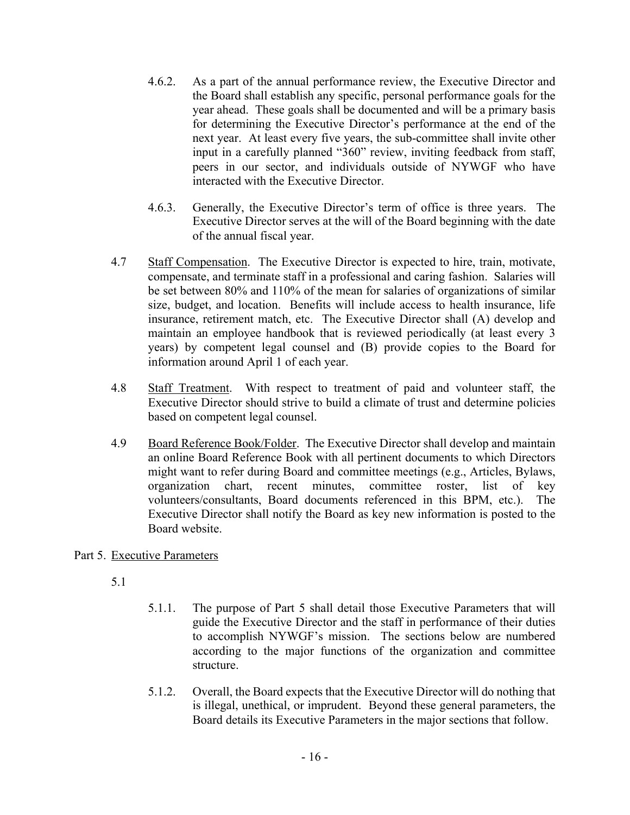- 4.6.2. As a part of the annual performance review, the Executive Director and the Board shall establish any specific, personal performance goals for the year ahead. These goals shall be documented and will be a primary basis for determining the Executive Director's performance at the end of the next year. At least every five years, the sub-committee shall invite other input in a carefully planned "360" review, inviting feedback from staff, peers in our sector, and individuals outside of NYWGF who have interacted with the Executive Director.
- 4.6.3. Generally, the Executive Director's term of office is three years. The Executive Director serves at the will of the Board beginning with the date of the annual fiscal year.
- 4.7 Staff Compensation. The Executive Director is expected to hire, train, motivate, compensate, and terminate staff in a professional and caring fashion. Salaries will be set between 80% and 110% of the mean for salaries of organizations of similar size, budget, and location. Benefits will include access to health insurance, life insurance, retirement match, etc. The Executive Director shall (A) develop and maintain an employee handbook that is reviewed periodically (at least every 3 years) by competent legal counsel and (B) provide copies to the Board for information around April 1 of each year.
- 4.8 Staff Treatment. With respect to treatment of paid and volunteer staff, the Executive Director should strive to build a climate of trust and determine policies based on competent legal counsel.
- 4.9 Board Reference Book/Folder. The Executive Director shall develop and maintain an online Board Reference Book with all pertinent documents to which Directors might want to refer during Board and committee meetings (e.g., Articles, Bylaws, organization chart, recent minutes, committee roster, list of key volunteers/consultants, Board documents referenced in this BPM, etc.). The Executive Director shall notify the Board as key new information is posted to the Board website.

Part 5. Executive Parameters

5.1

- 5.1.1. The purpose of Part 5 shall detail those Executive Parameters that will guide the Executive Director and the staff in performance of their duties to accomplish NYWGF's mission. The sections below are numbered according to the major functions of the organization and committee structure.
- 5.1.2. Overall, the Board expects that the Executive Director will do nothing that is illegal, unethical, or imprudent. Beyond these general parameters, the Board details its Executive Parameters in the major sections that follow.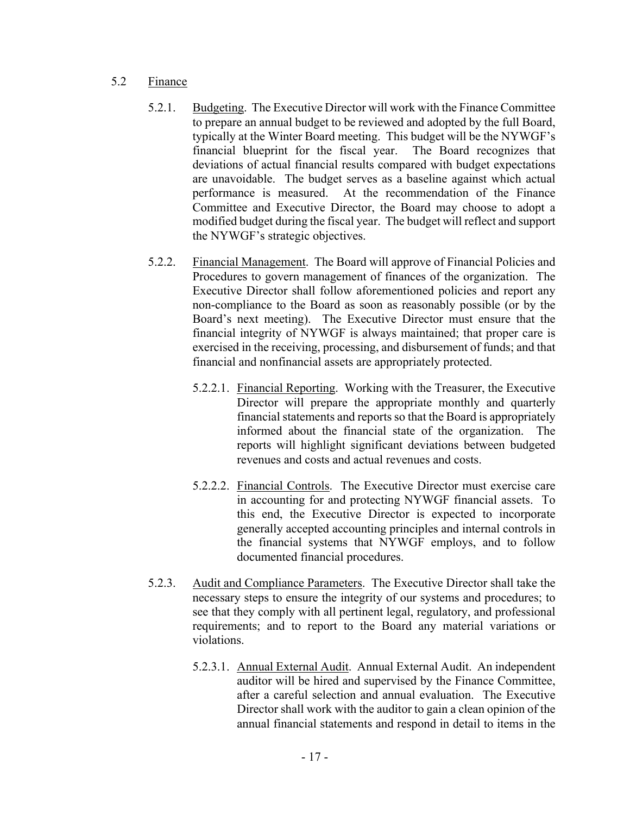## 5.2 Finance

- 5.2.1. Budgeting. The Executive Director will work with the Finance Committee to prepare an annual budget to be reviewed and adopted by the full Board, typically at the Winter Board meeting. This budget will be the NYWGF's financial blueprint for the fiscal year. The Board recognizes that deviations of actual financial results compared with budget expectations are unavoidable. The budget serves as a baseline against which actual performance is measured. At the recommendation of the Finance Committee and Executive Director, the Board may choose to adopt a modified budget during the fiscal year. The budget will reflect and support the NYWGF's strategic objectives.
- 5.2.2. Financial Management. The Board will approve of Financial Policies and Procedures to govern management of finances of the organization. The Executive Director shall follow aforementioned policies and report any non-compliance to the Board as soon as reasonably possible (or by the Board's next meeting). The Executive Director must ensure that the financial integrity of NYWGF is always maintained; that proper care is exercised in the receiving, processing, and disbursement of funds; and that financial and nonfinancial assets are appropriately protected.
	- 5.2.2.1. Financial Reporting. Working with the Treasurer, the Executive Director will prepare the appropriate monthly and quarterly financial statements and reports so that the Board is appropriately informed about the financial state of the organization. The reports will highlight significant deviations between budgeted revenues and costs and actual revenues and costs.
	- 5.2.2.2. Financial Controls. The Executive Director must exercise care in accounting for and protecting NYWGF financial assets. To this end, the Executive Director is expected to incorporate generally accepted accounting principles and internal controls in the financial systems that NYWGF employs, and to follow documented financial procedures.
- 5.2.3. Audit and Compliance Parameters. The Executive Director shall take the necessary steps to ensure the integrity of our systems and procedures; to see that they comply with all pertinent legal, regulatory, and professional requirements; and to report to the Board any material variations or violations.
	- 5.2.3.1. Annual External Audit. Annual External Audit. An independent auditor will be hired and supervised by the Finance Committee, after a careful selection and annual evaluation. The Executive Director shall work with the auditor to gain a clean opinion of the annual financial statements and respond in detail to items in the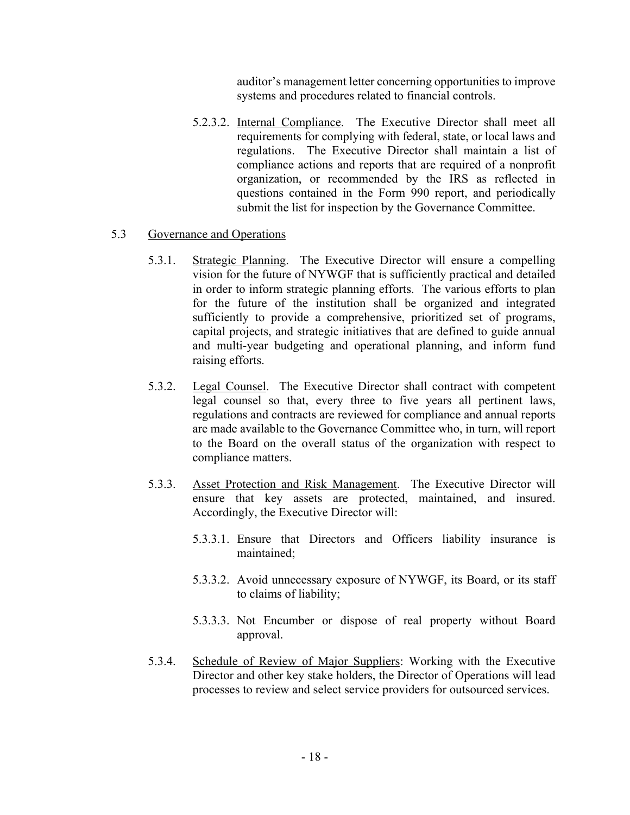auditor's management letter concerning opportunities to improve systems and procedures related to financial controls.

5.2.3.2. Internal Compliance. The Executive Director shall meet all requirements for complying with federal, state, or local laws and regulations. The Executive Director shall maintain a list of compliance actions and reports that are required of a nonprofit organization, or recommended by the IRS as reflected in questions contained in the Form 990 report, and periodically submit the list for inspection by the Governance Committee.

### 5.3 Governance and Operations

- 5.3.1. Strategic Planning. The Executive Director will ensure a compelling vision for the future of NYWGF that is sufficiently practical and detailed in order to inform strategic planning efforts. The various efforts to plan for the future of the institution shall be organized and integrated sufficiently to provide a comprehensive, prioritized set of programs, capital projects, and strategic initiatives that are defined to guide annual and multi-year budgeting and operational planning, and inform fund raising efforts.
- 5.3.2. Legal Counsel. The Executive Director shall contract with competent legal counsel so that, every three to five years all pertinent laws, regulations and contracts are reviewed for compliance and annual reports are made available to the Governance Committee who, in turn, will report to the Board on the overall status of the organization with respect to compliance matters.
- 5.3.3. Asset Protection and Risk Management. The Executive Director will ensure that key assets are protected, maintained, and insured. Accordingly, the Executive Director will:
	- 5.3.3.1. Ensure that Directors and Officers liability insurance is maintained;
	- 5.3.3.2. Avoid unnecessary exposure of NYWGF, its Board, or its staff to claims of liability;
	- 5.3.3.3. Not Encumber or dispose of real property without Board approval.
- 5.3.4. Schedule of Review of Major Suppliers: Working with the Executive Director and other key stake holders, the Director of Operations will lead processes to review and select service providers for outsourced services.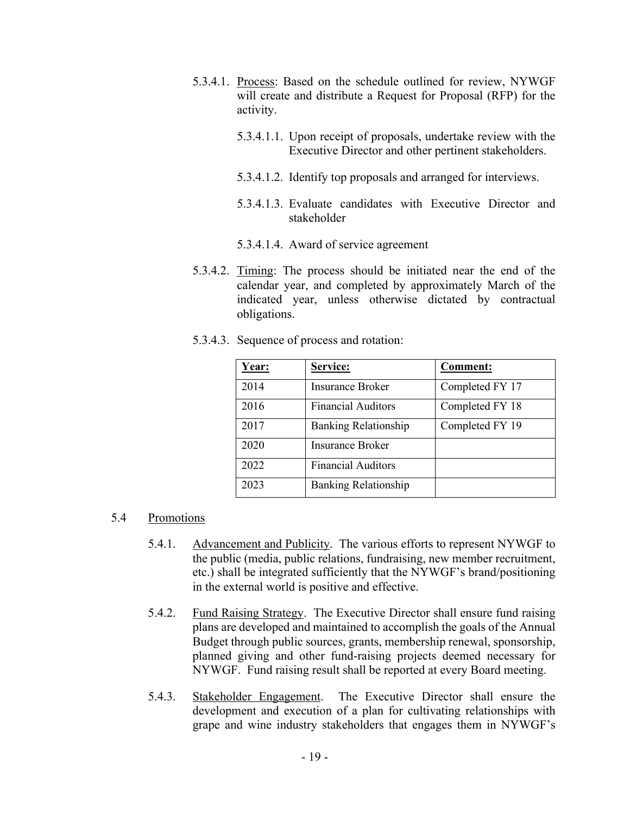- 5.3.4.1. Process: Based on the schedule outlined for review, NYWGF will create and distribute a Request for Proposal (RFP) for the activity.
	- 5.3.4.1.1. Upon receipt of proposals, undertake review with the Executive Director and other pertinent stakeholders.
	- 5.3.4.1.2. Identify top proposals and arranged for interviews.
	- 5.3.4.1.3. Evaluate candidates with Executive Director and stakeholder
	- 5.3.4.1.4. Award of service agreement
- 5.3.4.2. Timing: The process should be initiated near the end of the calendar year, and completed by approximately March of the indicated year, unless otherwise dictated by contractual obligations.
- 5.3.4.3. Sequence of process and rotation:

| Year: | Service:                    | <b>Comment:</b> |
|-------|-----------------------------|-----------------|
| 2014  | Insurance Broker            | Completed FY 17 |
| 2016  | <b>Financial Auditors</b>   | Completed FY 18 |
| 2017  | <b>Banking Relationship</b> | Completed FY 19 |
| 2020  | <b>Insurance Broker</b>     |                 |
| 2022  | <b>Financial Auditors</b>   |                 |
| 2023  | <b>Banking Relationship</b> |                 |

# 5.4 Promotions

- 5.4.1. Advancement and Publicity. The various efforts to represent NYWGF to the public (media, public relations, fundraising, new member recruitment, etc.) shall be integrated sufficiently that the NYWGF's brand/positioning in the external world is positive and effective.
- 5.4.2. Fund Raising Strategy. The Executive Director shall ensure fund raising plans are developed and maintained to accomplish the goals of the Annual Budget through public sources, grants, membership renewal, sponsorship, planned giving and other fund-raising projects deemed necessary for NYWGF. Fund raising result shall be reported at every Board meeting.
- 5.4.3. Stakeholder Engagement. The Executive Director shall ensure the development and execution of a plan for cultivating relationships with grape and wine industry stakeholders that engages them in NYWGF's